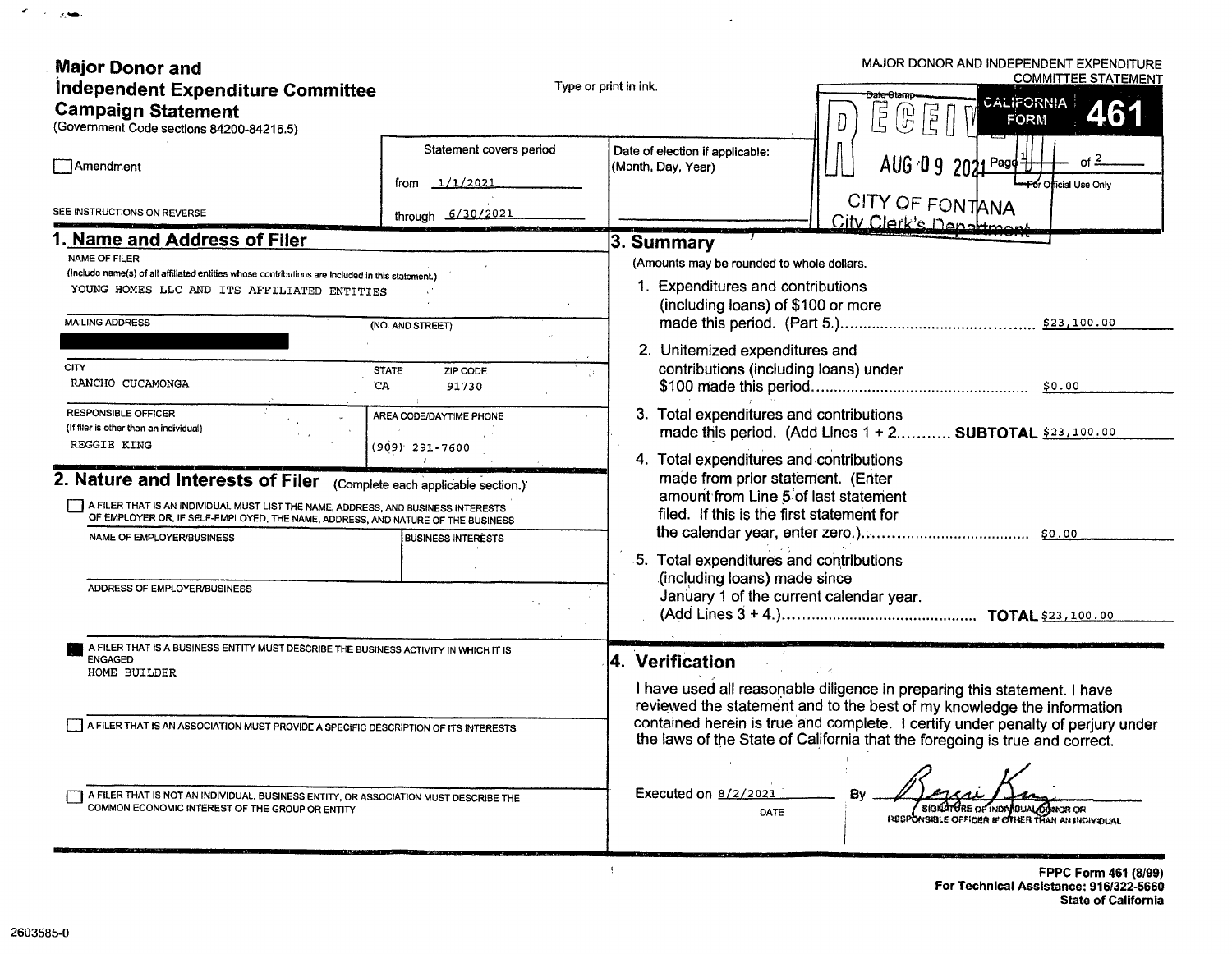| <b>Major Donor and</b><br>Independent Expenditure Committee<br><b>Campaign Statement</b><br>(Government Code sections 84200-84216.5)                                                                                                                                                                                                                                                                                                                                                                                                                                                                                              |                                                                                                                                                                              | MAJOR DONOR AND INDEPENDENT EXPENDITURE<br><b>COMMITTEE STATEMENT</b><br>Type or print in ink.<br><del>Jate Cta</del> rno<br>CALIFORNIA<br>Ę<br>נד<br>כ<br><b>FORM</b><br>lл                                                                                                                                                                                                                                                                                                                                                                                                                                   |  |  |  |
|-----------------------------------------------------------------------------------------------------------------------------------------------------------------------------------------------------------------------------------------------------------------------------------------------------------------------------------------------------------------------------------------------------------------------------------------------------------------------------------------------------------------------------------------------------------------------------------------------------------------------------------|------------------------------------------------------------------------------------------------------------------------------------------------------------------------------|----------------------------------------------------------------------------------------------------------------------------------------------------------------------------------------------------------------------------------------------------------------------------------------------------------------------------------------------------------------------------------------------------------------------------------------------------------------------------------------------------------------------------------------------------------------------------------------------------------------|--|--|--|
| <b>Amendment</b>                                                                                                                                                                                                                                                                                                                                                                                                                                                                                                                                                                                                                  | Statement covers period<br>1/1/2021<br>from                                                                                                                                  | Date of election if applicable:<br>$AUG \ 0 \ 9 \ 2021 \frac{Page+1}{1}$<br>(Month, Day, Year)<br>For Official Use Only<br>CITY OF FONTANA                                                                                                                                                                                                                                                                                                                                                                                                                                                                     |  |  |  |
| SEE INSTRUCTIONS ON REVERSE                                                                                                                                                                                                                                                                                                                                                                                                                                                                                                                                                                                                       | through 6/30/2021                                                                                                                                                            | City Clerk's Denatimon                                                                                                                                                                                                                                                                                                                                                                                                                                                                                                                                                                                         |  |  |  |
| Name and Address of Filer<br><b>NAME OF FILER</b><br>(include name(s) of all affiliated entities whose contributions are included in this statement.)<br>YOUNG HOMES LLC AND ITS AFFILIATED ENTITIES<br><b>MAILING ADDRESS</b><br><b>CITY</b><br>RANCHO CUCAMONGA<br><b>RESPONSIBLE OFFICER</b><br>(If filer is other than an individual)<br>REGGIE KING<br>2. Nature and Interests of Filer<br>A FILER THAT IS AN INDIVIDUAL MUST LIST THE NAME, ADDRESS, AND BUSINESS INTERESTS<br>OF EMPLOYER OR, IF SELF-EMPLOYED, THE NAME, ADDRESS, AND NATURE OF THE BUSINESS<br>NAME OF EMPLOYER/BUSINESS<br>ADDRESS OF EMPLOYER/BUSINESS | (NO. AND STREET)<br><b>STATE</b><br>ZIP CODE<br>CA<br>91730<br>AREA CODE/DAYTIME PHONE<br>(909) 291-7600<br>(Complete each applicable section.)<br><b>BUSINESS INTERESTS</b> | 3. Summary<br>(Amounts may be rounded to whole dollars.<br>1. Expenditures and contributions<br>(including loans) of \$100 or more<br>2. Unitemized expenditures and<br>contributions (including loans) under<br>3. Total expenditures and contributions<br>made this period. (Add Lines 1 + 2 SUBTOTAL \$23,100.00<br>4. Total expenditures and contributions<br>made from prior statement. (Enter<br>amount from Line 5 of last statement<br>filed. If this is the first statement for<br>5. Total expenditures and contributions<br>(including loans) made since<br>January 1 of the current calendar year. |  |  |  |
| A FILER THAT IS A BUSINESS ENTITY MUST DESCRIBE THE BUSINESS ACTIVITY IN WHICH IT IS<br><b>ENGAGED</b><br>HOME BUILDER                                                                                                                                                                                                                                                                                                                                                                                                                                                                                                            |                                                                                                                                                                              | 4. Verification<br>I have used all reasonable diligence in preparing this statement. I have<br>reviewed the statement and to the best of my knowledge the information                                                                                                                                                                                                                                                                                                                                                                                                                                          |  |  |  |
| A FILER THAT IS AN ASSOCIATION MUST PROVIDE A SPECIFIC DESCRIPTION OF ITS INTERESTS<br>A FILER THAT IS NOT AN INDIVIDUAL, BUSINESS ENTITY, OR ASSOCIATION MUST DESCRIBE THE<br>COMMON ECONOMIC INTEREST OF THE GROUP OR ENTITY                                                                                                                                                                                                                                                                                                                                                                                                    |                                                                                                                                                                              | contained herein is true and complete. I certify under penalty of perjury under<br>the laws of the State of California that the foregoing is true and correct.<br>Executed on 8/2/2021<br>SIGNATURE OF INDIVIDUAL OPINCR OR<br>DATE<br>RESPONSIBLE OFFICER IF OTHER THAN AN INCHARGEAL                                                                                                                                                                                                                                                                                                                         |  |  |  |

 $\Lambda$ 

 $\sim 100$ 

 $\sigma_{\rm{eff}}$  ,  $\sigma_{\rm{eff}}$